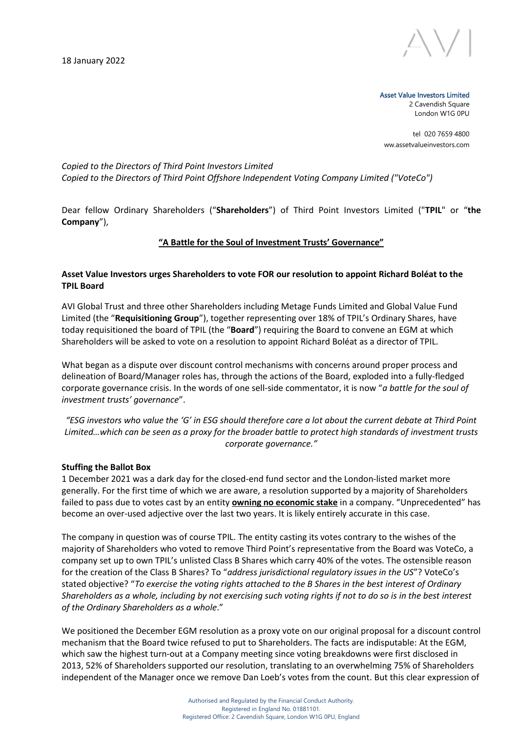18 January 2022



Asset Value Investors Limited 2 Cavendish Square

London W1G 0PU

tel 020 7659 4800 ww.assetvalueinvestors.com

*Copied to the Directors of Third Point Investors Limited Copied to the Directors of Third Point Offshore Independent Voting Company Limited ("VoteCo")*

Dear fellow Ordinary Shareholders ("**Shareholders**") of Third Point Investors Limited ("**TPIL**" or "**the Company**"),

#### **"A Battle for the Soul of Investment Trusts' Governance"**

### **Asset Value Investors urges Shareholders to vote FOR our resolution to appoint Richard Boléat to the TPIL Board**

AVI Global Trust and three other Shareholders including Metage Funds Limited and Global Value Fund Limited (the "**Requisitioning Group**"), together representing over 18% of TPIL's Ordinary Shares, have today requisitioned the board of TPIL (the "**Board**") requiring the Board to convene an EGM at which Shareholders will be asked to vote on a resolution to appoint Richard Boléat as a director of TPIL.

What began as a dispute over discount control mechanisms with concerns around proper process and delineation of Board/Manager roles has, through the actions of the Board, exploded into a fully-fledged corporate governance crisis. In the words of one sell-side commentator, it is now "*a battle for the soul of investment trusts' governance*".

*"ESG investors who value the 'G' in ESG should therefore care a lot about the current debate at Third Point Limited…which can be seen as a proxy for the broader battle to protect high standards of investment trusts corporate governance."*

#### **Stuffing the Ballot Box**

1 December 2021 was a dark day for the closed-end fund sector and the London-listed market more generally. For the first time of which we are aware, a resolution supported by a majority of Shareholders failed to pass due to votes cast by an entity **owning no economic stake** in a company. "Unprecedented" has become an over-used adjective over the last two years. It is likely entirely accurate in this case.

The company in question was of course TPIL. The entity casting its votes contrary to the wishes of the majority of Shareholders who voted to remove Third Point's representative from the Board was VoteCo, a company set up to own TPIL's unlisted Class B Shares which carry 40% of the votes. The ostensible reason for the creation of the Class B Shares? To "*address jurisdictional regulatory issues in the US*"? VoteCo's stated objective? "*To exercise the voting rights attached to the B Shares in the best interest of Ordinary Shareholders as a whole, including by not exercising such voting rights if not to do so is in the best interest of the Ordinary Shareholders as a whole*."

We positioned the December EGM resolution as a proxy vote on our original proposal for a discount control mechanism that the Board twice refused to put to Shareholders. The facts are indisputable: At the EGM, which saw the highest turn-out at a Company meeting since voting breakdowns were first disclosed in 2013, 52% of Shareholders supported our resolution, translating to an overwhelming 75% of Shareholders independent of the Manager once we remove Dan Loeb's votes from the count. But this clear expression of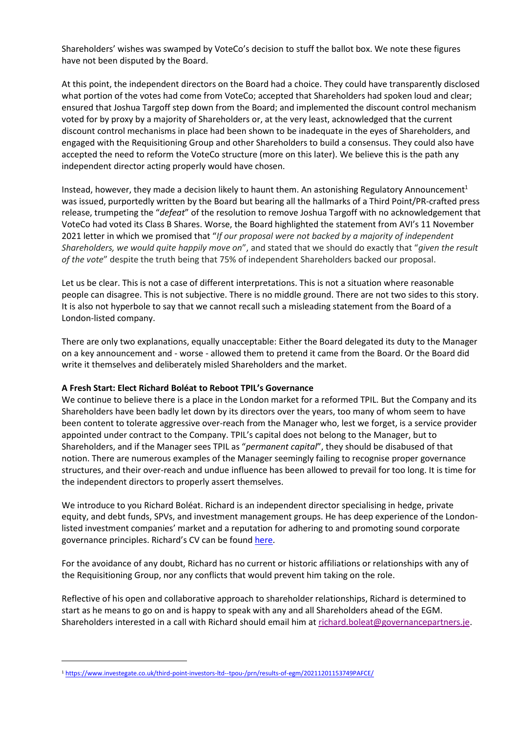Shareholders' wishes was swamped by VoteCo's decision to stuff the ballot box. We note these figures have not been disputed by the Board.

At this point, the independent directors on the Board had a choice. They could have transparently disclosed what portion of the votes had come from VoteCo; accepted that Shareholders had spoken loud and clear; ensured that Joshua Targoff step down from the Board; and implemented the discount control mechanism voted for by proxy by a majority of Shareholders or, at the very least, acknowledged that the current discount control mechanisms in place had been shown to be inadequate in the eyes of Shareholders, and engaged with the Requisitioning Group and other Shareholders to build a consensus. They could also have accepted the need to reform the VoteCo structure (more on this later). We believe this is the path any independent director acting properly would have chosen.

Instead, however, they made a decision likely to haunt them. An astonishing Regulatory Announcement<sup>1</sup> was issued, purportedly written by the Board but bearing all the hallmarks of a Third Point/PR-crafted press release, trumpeting the "*defeat*" of the resolution to remove Joshua Targoff with no acknowledgement that VoteCo had voted its Class B Shares. Worse, the Board highlighted the statement from AVI's 11 November 2021 letter in which we promised that "*If our proposal were not backed by a majority of independent Shareholders, we would quite happily move on*", and stated that we should do exactly that "*given the result of the vote*" despite the truth being that 75% of independent Shareholders backed our proposal.

Let us be clear. This is not a case of different interpretations. This is not a situation where reasonable people can disagree. This is not subjective. There is no middle ground. There are not two sides to this story. It is also not hyperbole to say that we cannot recall such a misleading statement from the Board of a London-listed company.

There are only two explanations, equally unacceptable: Either the Board delegated its duty to the Manager on a key announcement and - worse - allowed them to pretend it came from the Board. Or the Board did write it themselves and deliberately misled Shareholders and the market.

### **A Fresh Start: Elect Richard Boléat to Reboot TPIL's Governance**

We continue to believe there is a place in the London market for a reformed TPIL. But the Company and its Shareholders have been badly let down by its directors over the years, too many of whom seem to have been content to tolerate aggressive over-reach from the Manager who, lest we forget, is a service provider appointed under contract to the Company. TPIL's capital does not belong to the Manager, but to Shareholders, and if the Manager sees TPIL as "*permanent capital*", they should be disabused of that notion. There are numerous examples of the Manager seemingly failing to recognise proper governance structures, and their over-reach and undue influence has been allowed to prevail for too long. It is time for the independent directors to properly assert themselves.

We introduce to you Richard Boléat. Richard is an independent director specialising in hedge, private equity, and debt funds, SPVs, and investment management groups. He has deep experience of the Londonlisted investment companies' market and a reputation for adhering to and promoting sound corporate governance principles. Richard's CV can be found [here.](https://www.assetvalueinvestors.com/third-point-cv.)

For the avoidance of any doubt, Richard has no current or historic affiliations or relationships with any of the Requisitioning Group, nor any conflicts that would prevent him taking on the role.

Reflective of his open and collaborative approach to shareholder relationships, Richard is determined to start as he means to go on and is happy to speak with any and all Shareholders ahead of the EGM. Shareholders interested in a call with Richard should email him at [richard.boleat@governancepartners.je.](mailto:richard.boleat@governancepartners.je)

<sup>1</sup> <https://www.investegate.co.uk/third-point-investors-ltd--tpou-/prn/results-of-egm/20211201153749PAFCE/>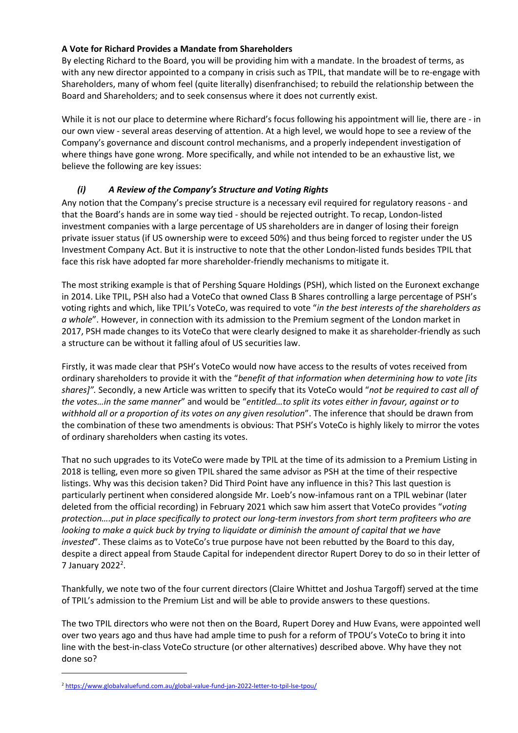### **A Vote for Richard Provides a Mandate from Shareholders**

By electing Richard to the Board, you will be providing him with a mandate. In the broadest of terms, as with any new director appointed to a company in crisis such as TPIL, that mandate will be to re-engage with Shareholders, many of whom feel (quite literally) disenfranchised; to rebuild the relationship between the Board and Shareholders; and to seek consensus where it does not currently exist.

While it is not our place to determine where Richard's focus following his appointment will lie, there are - in our own view - several areas deserving of attention. At a high level, we would hope to see a review of the Company's governance and discount control mechanisms, and a properly independent investigation of where things have gone wrong. More specifically, and while not intended to be an exhaustive list, we believe the following are key issues:

## *(i) A Review of the Company's Structure and Voting Rights*

Any notion that the Company's precise structure is a necessary evil required for regulatory reasons - and that the Board's hands are in some way tied - should be rejected outright. To recap, London-listed investment companies with a large percentage of US shareholders are in danger of losing their foreign private issuer status (if US ownership were to exceed 50%) and thus being forced to register under the US Investment Company Act. But it is instructive to note that the other London-listed funds besides TPIL that face this risk have adopted far more shareholder-friendly mechanisms to mitigate it.

The most striking example is that of Pershing Square Holdings (PSH), which listed on the Euronext exchange in 2014. Like TPIL, PSH also had a VoteCo that owned Class B Shares controlling a large percentage of PSH's voting rights and which, like TPIL's VoteCo, was required to vote "*in the best interests of the shareholders as a whole*". However, in connection with its admission to the Premium segment of the London market in 2017, PSH made changes to its VoteCo that were clearly designed to make it as shareholder-friendly as such a structure can be without it falling afoul of US securities law.

Firstly, it was made clear that PSH's VoteCo would now have access to the results of votes received from ordinary shareholders to provide it with the "*benefit of that information when determining how to vote [its shares]".* Secondly, a new Article was written to specify that its VoteCo would "*not be required to cast all of the votes…in the same manner*" and would be "*entitled…to split its votes either in favour, against or to withhold all or a proportion of its votes on any given resolution*". The inference that should be drawn from the combination of these two amendments is obvious: That PSH's VoteCo is highly likely to mirror the votes of ordinary shareholders when casting its votes.

That no such upgrades to its VoteCo were made by TPIL at the time of its admission to a Premium Listing in 2018 is telling, even more so given TPIL shared the same advisor as PSH at the time of their respective listings. Why was this decision taken? Did Third Point have any influence in this? This last question is particularly pertinent when considered alongside Mr. Loeb's now-infamous rant on a TPIL webinar (later deleted from the official recording) in February 2021 which saw him assert that VoteCo provides "*voting protection….put in place specifically to protect our long-term investors from short term profiteers who are looking to make a quick buck by trying to liquidate or diminish the amount of capital that we have invested*". These claims as to VoteCo's true purpose have not been rebutted by the Board to this day, despite a direct appeal from Staude Capital for independent director Rupert Dorey to do so in their letter of 7 January 2022 $^2$ .

Thankfully, we note two of the four current directors (Claire Whittet and Joshua Targoff) served at the time of TPIL's admission to the Premium List and will be able to provide answers to these questions.

The two TPIL directors who were not then on the Board, Rupert Dorey and Huw Evans, were appointed well over two years ago and thus have had ample time to push for a reform of TPOU's VoteCo to bring it into line with the best-in-class VoteCo structure (or other alternatives) described above. Why have they not done so?

<sup>2</sup> <https://www.globalvaluefund.com.au/global-value-fund-jan-2022-letter-to-tpil-lse-tpou/>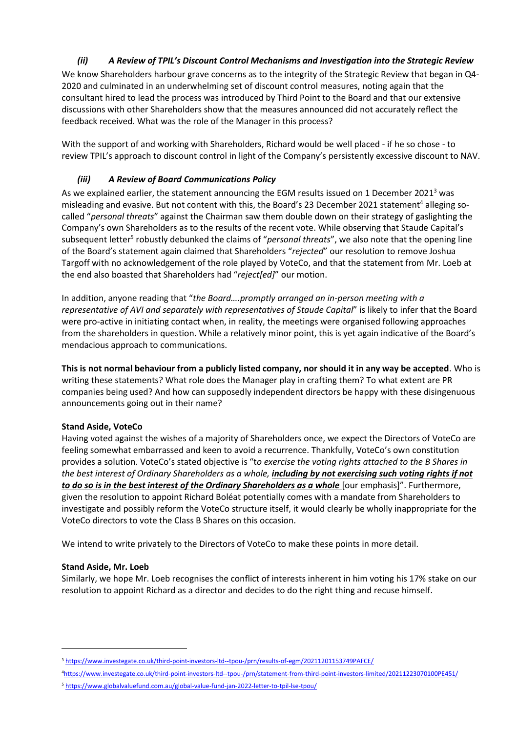# *(ii) A Review of TPIL's Discount Control Mechanisms and Investigation into the Strategic Review*

We know Shareholders harbour grave concerns as to the integrity of the Strategic Review that began in Q4- 2020 and culminated in an underwhelming set of discount control measures, noting again that the consultant hired to lead the process was introduced by Third Point to the Board and that our extensive discussions with other Shareholders show that the measures announced did not accurately reflect the feedback received. What was the role of the Manager in this process?

With the support of and working with Shareholders, Richard would be well placed - if he so chose - to review TPIL's approach to discount control in light of the Company's persistently excessive discount to NAV.

## *(iii) A Review of Board Communications Policy*

As we explained earlier, the statement announcing the EGM results issued on 1 December 2021<sup>3</sup> was misleading and evasive. But not content with this, the Board's 23 December 2021 statement<sup>4</sup> alleging socalled "*personal threats*" against the Chairman saw them double down on their strategy of gaslighting the Company's own Shareholders as to the results of the recent vote. While observing that Staude Capital's subsequent letter<sup>5</sup> robustly debunked the claims of "*personal threats*", we also note that the opening line of the Board's statement again claimed that Shareholders "*rejected*" our resolution to remove Joshua Targoff with no acknowledgement of the role played by VoteCo, and that the statement from Mr. Loeb at the end also boasted that Shareholders had "*reject[ed]*" our motion.

In addition, anyone reading that "*the Board….promptly arranged an in-person meeting with a representative of AVI and separately with representatives of Staude Capital*" is likely to infer that the Board were pro-active in initiating contact when, in reality, the meetings were organised following approaches from the shareholders in question. While a relatively minor point, this is yet again indicative of the Board's mendacious approach to communications.

**This is not normal behaviour from a publicly listed company, nor should it in any way be accepted**. Who is writing these statements? What role does the Manager play in crafting them? To what extent are PR companies being used? And how can supposedly independent directors be happy with these disingenuous announcements going out in their name?

## **Stand Aside, VoteCo**

Having voted against the wishes of a majority of Shareholders once, we expect the Directors of VoteCo are feeling somewhat embarrassed and keen to avoid a recurrence. Thankfully, VoteCo's own constitution provides a solution. VoteCo's stated objective is "t*o exercise the voting rights attached to the B Shares in the best interest of Ordinary Shareholders as a whole, including by not exercising such voting rights if not to do so is in the best interest of the Ordinary Shareholders as a whole* [our emphasis]". Furthermore, given the resolution to appoint Richard Boléat potentially comes with a mandate from Shareholders to investigate and possibly reform the VoteCo structure itself, it would clearly be wholly inappropriate for the VoteCo directors to vote the Class B Shares on this occasion.

We intend to write privately to the Directors of VoteCo to make these points in more detail.

### **Stand Aside, Mr. Loeb**

Similarly, we hope Mr. Loeb recognises the conflict of interests inherent in him voting his 17% stake on our resolution to appoint Richard as a director and decides to do the right thing and recuse himself.

<sup>3</sup> <https://www.investegate.co.uk/third-point-investors-ltd--tpou-/prn/results-of-egm/20211201153749PAFCE/>

<sup>4</sup><https://www.investegate.co.uk/third-point-investors-ltd--tpou-/prn/statement-from-third-point-investors-limited/20211223070100PE451/>

<sup>5</sup> <https://www.globalvaluefund.com.au/global-value-fund-jan-2022-letter-to-tpil-lse-tpou/>